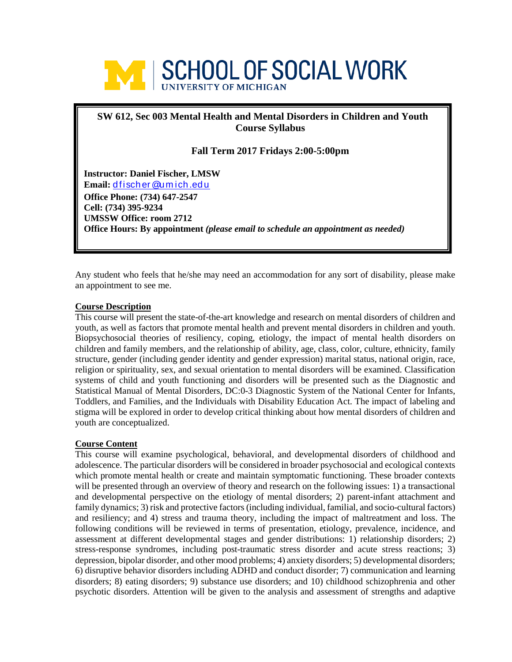

# **SW 612, Sec 003 Mental Health and Mental Disorders in Children and Youth Course Syllabus**

**Fall Term 2017 Fridays 2:00-5:00pm**

**Instructor: Daniel Fischer, LMSW Email:** [d fisch er @um ich .ed u](mailto:dfischer@umich.edu) **Office Phone: (734) 647-2547 Cell: (734) 395-9234 UMSSW Office: room 2712 Office Hours: By appointment** *(please email to schedule an appointment as needed)*

Any student who feels that he/she may need an accommodation for any sort of disability, please make an appointment to see me.

#### **Course Description**

This course will present the state-of-the-art knowledge and research on mental disorders of children and youth, as well as factors that promote mental health and prevent mental disorders in children and youth. Biopsychosocial theories of resiliency, coping, etiology, the impact of mental health disorders on children and family members, and the relationship of ability, age, class, color, culture, ethnicity, family structure, gender (including gender identity and gender expression) marital status, national origin, race, religion or spirituality, sex, and sexual orientation to mental disorders will be examined. Classification systems of child and youth functioning and disorders will be presented such as the Diagnostic and Statistical Manual of Mental Disorders, DC:0-3 Diagnostic System of the National Center for Infants, Toddlers, and Families, and the Individuals with Disability Education Act. The impact of labeling and stigma will be explored in order to develop critical thinking about how mental disorders of children and youth are conceptualized.

# **Course Content**

This course will examine psychological, behavioral, and developmental disorders of childhood and adolescence. The particular disorders will be considered in broader psychosocial and ecological contexts which promote mental health or create and maintain symptomatic functioning. These broader contexts will be presented through an overview of theory and research on the following issues: 1) a transactional and developmental perspective on the etiology of mental disorders; 2) parent-infant attachment and family dynamics; 3) risk and protective factors (including individual, familial, and socio-cultural factors) and resiliency; and 4) stress and trauma theory, including the impact of maltreatment and loss. The following conditions will be reviewed in terms of presentation, etiology, prevalence, incidence, and assessment at different developmental stages and gender distributions: 1) relationship disorders; 2) stress-response syndromes, including post-traumatic stress disorder and acute stress reactions; 3) depression, bipolar disorder, and other mood problems; 4) anxiety disorders; 5) developmental disorders; 6) disruptive behavior disorders including ADHD and conduct disorder; 7) communication and learning disorders; 8) eating disorders; 9) substance use disorders; and 10) childhood schizophrenia and other psychotic disorders. Attention will be given to the analysis and assessment of strengths and adaptive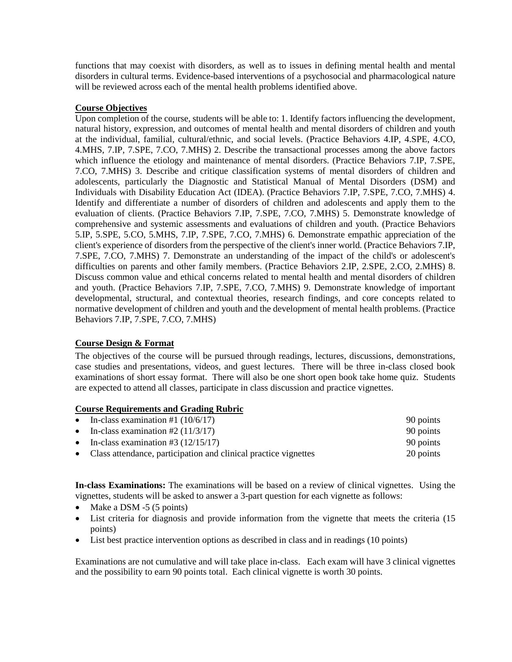functions that may coexist with disorders, as well as to issues in defining mental health and mental disorders in cultural terms. Evidence-based interventions of a psychosocial and pharmacological nature will be reviewed across each of the mental health problems identified above.

# **Course Objectives**

Upon completion of the course, students will be able to: 1. Identify factors influencing the development, natural history, expression, and outcomes of mental health and mental disorders of children and youth at the individual, familial, cultural/ethnic, and social levels. (Practice Behaviors 4.IP, 4.SPE, 4.CO, 4.MHS, 7.IP, 7.SPE, 7.CO, 7.MHS) 2. Describe the transactional processes among the above factors which influence the etiology and maintenance of mental disorders. (Practice Behaviors 7.IP, 7.SPE, 7.CO, 7.MHS) 3. Describe and critique classification systems of mental disorders of children and adolescents, particularly the Diagnostic and Statistical Manual of Mental Disorders (DSM) and Individuals with Disability Education Act (IDEA). (Practice Behaviors 7.IP, 7.SPE, 7.CO, 7.MHS) 4. Identify and differentiate a number of disorders of children and adolescents and apply them to the evaluation of clients. (Practice Behaviors 7.IP, 7.SPE, 7.CO, 7.MHS) 5. Demonstrate knowledge of comprehensive and systemic assessments and evaluations of children and youth. (Practice Behaviors 5.IP, 5.SPE, 5.CO, 5.MHS, 7.IP, 7.SPE, 7.CO, 7.MHS) 6. Demonstrate empathic appreciation of the client's experience of disorders from the perspective of the client's inner world. (Practice Behaviors 7.IP, 7.SPE, 7.CO, 7.MHS) 7. Demonstrate an understanding of the impact of the child's or adolescent's difficulties on parents and other family members. (Practice Behaviors 2.IP, 2.SPE, 2.CO, 2.MHS) 8. Discuss common value and ethical concerns related to mental health and mental disorders of children and youth. (Practice Behaviors 7.IP, 7.SPE, 7.CO, 7.MHS) 9. Demonstrate knowledge of important developmental, structural, and contextual theories, research findings, and core concepts related to normative development of children and youth and the development of mental health problems. (Practice Behaviors 7.IP, 7.SPE, 7.CO, 7.MHS)

# **Course Design & Format**

The objectives of the course will be pursued through readings, lectures, discussions, demonstrations, case studies and presentations, videos, and guest lectures. There will be three in-class closed book examinations of short essay format. There will also be one short open book take home quiz. Students are expected to attend all classes, participate in class discussion and practice vignettes.

# **Course Requirements and Grading Rubric**

| • In-class examination #1 $(10/6/17)$                             | 90 points |
|-------------------------------------------------------------------|-----------|
| • In-class examination #2 $(11/3/17)$                             | 90 points |
| • In-class examination #3 $(12/15/17)$                            | 90 points |
| • Class attendance, participation and clinical practice vignettes | 20 points |

**In-class Examinations:** The examinations will be based on a review of clinical vignettes. Using the vignettes, students will be asked to answer a 3-part question for each vignette as follows:

- Make a DSM -5 (5 points)
- List criteria for diagnosis and provide information from the vignette that meets the criteria (15 points)
- List best practice intervention options as described in class and in readings (10 points)

Examinations are not cumulative and will take place in-class. Each exam will have 3 clinical vignettes and the possibility to earn 90 points total. Each clinical vignette is worth 30 points.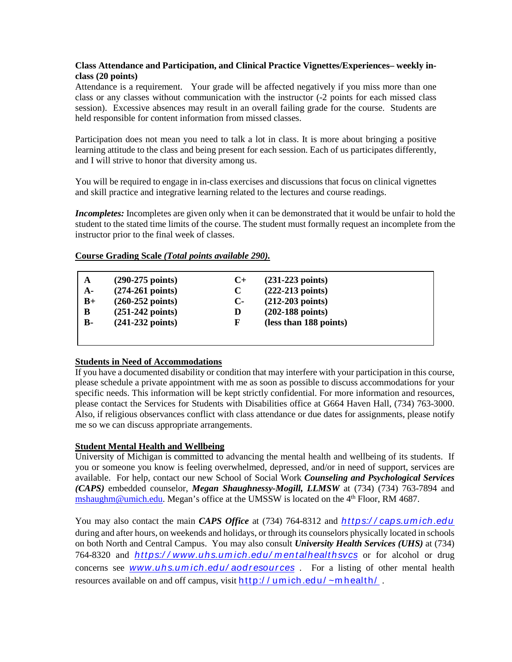# **Class Attendance and Participation, and Clinical Practice Vignettes/Experiences– weekly inclass (20 points)**

Attendance is a requirement. Your grade will be affected negatively if you miss more than one class or any classes without communication with the instructor (-2 points for each missed class session). Excessive absences may result in an overall failing grade for the course. Students are held responsible for content information from missed classes.

Participation does not mean you need to talk a lot in class. It is more about bringing a positive learning attitude to the class and being present for each session. Each of us participates differently, and I will strive to honor that diversity among us.

You will be required to engage in in-class exercises and discussions that focus on clinical vignettes and skill practice and integrative learning related to the lectures and course readings.

*Incompletes:* Incompletes are given only when it can be demonstrated that it would be unfair to hold the student to the stated time limits of the course. The student must formally request an incomplete from the instructor prior to the final week of classes.

| A         | $(290-275 \text{ points})$ | $C_{\pm}$    | $(231-223$ points)         |
|-----------|----------------------------|--------------|----------------------------|
| $A-$      | $(274-261$ points)         |              | $(222-213 \text{ points})$ |
| $B+$      | $(260-252 \text{ points})$ | $\mathbf{C}$ | $(212-203 \text{ points})$ |
| В         | $(251-242$ points)         | D            | $(202-188 \text{ points})$ |
| <b>B-</b> | $(241-232 \text{ points})$ | F            | (less than 188 points)     |

# **Course Grading Scale** *(Total points available 290).*

# **Students in Need of Accommodations**

If you have a documented disability or condition that may interfere with your participation in this course, please schedule a private appointment with me as soon as possible to discuss accommodations for your specific needs. This information will be kept strictly confidential. For more information and resources, please contact the Services for Students with Disabilities office at G664 Haven Hall, (734) 763-3000. Also, if religious observances conflict with class attendance or due dates for assignments, please notify me so we can discuss appropriate arrangements.

# **Student Mental Health and Wellbeing**

University of Michigan is committed to advancing the mental health and wellbeing of its students. If you or someone you know is feeling overwhelmed, depressed, and/or in need of support, services are available. For help, contact our new School of Social Work *Counseling and Psychological Services (CAPS)* embedded counselor, *Megan Shaughnessy-Mogill, LLMSW* at (734) (734) 763-7894 and [mshaughm@umich.edu.](mailto:mshaughm@umich.edu) Megan's office at the UMSSW is located on the 4<sup>th</sup> Floor, RM 4687.

You may also contact the main *CAPS Office* at (734) 764-8312 and *[https:/ / caps.um ich .ed u](https://caps.umich.edu/)* during and after hours, on weekends and holidays, or through its counselors physically located in schools on both North and Central Campus. You may also consult *University Health Services (UHS)* at (734) 764-8320 and *[https:/ / www.uhs.um ich .ed u/ m en talhealth svcs](https://www.uhs.umich.edu/mentalhealthsvcs)* or for alcohol or drug concerns see **www.uhs.umich.edu/aodresources**. For a listing of other mental health resources available on and off campus, visit  $http://umich.edu/~m-health/$ .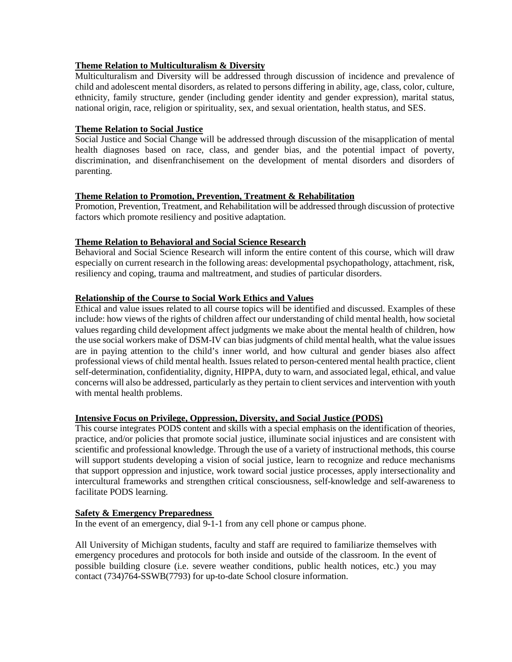# **Theme Relation to Multiculturalism & Diversity**

Multiculturalism and Diversity will be addressed through discussion of incidence and prevalence of child and adolescent mental disorders, as related to persons differing in ability, age, class, color, culture, ethnicity, family structure, gender (including gender identity and gender expression), marital status, national origin, race, religion or spirituality, sex, and sexual orientation, health status, and SES.

# **Theme Relation to Social Justice**

Social Justice and Social Change will be addressed through discussion of the misapplication of mental health diagnoses based on race, class, and gender bias, and the potential impact of poverty, discrimination, and disenfranchisement on the development of mental disorders and disorders of parenting.

# **Theme Relation to Promotion, Prevention, Treatment & Rehabilitation**

Promotion, Prevention, Treatment, and Rehabilitation will be addressed through discussion of protective factors which promote resiliency and positive adaptation.

# **Theme Relation to Behavioral and Social Science Research**

Behavioral and Social Science Research will inform the entire content of this course, which will draw especially on current research in the following areas: developmental psychopathology, attachment, risk, resiliency and coping, trauma and maltreatment, and studies of particular disorders.

# **Relationship of the Course to Social Work Ethics and Values**

Ethical and value issues related to all course topics will be identified and discussed. Examples of these include: how views of the rights of children affect our understanding of child mental health, how societal values regarding child development affect judgments we make about the mental health of children, how the use social workers make of DSM-IV can bias judgments of child mental health, what the value issues are in paying attention to the child's inner world, and how cultural and gender biases also affect professional views of child mental health. Issues related to person-centered mental health practice, client self-determination, confidentiality, dignity, HIPPA, duty to warn, and associated legal, ethical, and value concerns will also be addressed, particularly as they pertain to client services and intervention with youth with mental health problems.

# **Intensive Focus on Privilege, Oppression, Diversity, and Social Justice (PODS)**

This course integrates PODS content and skills with a special emphasis on the identification of theories, practice, and/or policies that promote social justice, illuminate social injustices and are consistent with scientific and professional knowledge. Through the use of a variety of instructional methods, this course will support students developing a vision of social justice, learn to recognize and reduce mechanisms that support oppression and injustice, work toward social justice processes, apply intersectionality and intercultural frameworks and strengthen critical consciousness, self-knowledge and self-awareness to facilitate PODS learning.

# **Safety & Emergency Preparedness**

In the event of an emergency, dial 9-1-1 from any cell phone or campus phone.

All University of Michigan students, faculty and staff are required to familiarize themselves with emergency procedures and protocols for both inside and outside of the classroom. In the event of possible building closure (i.e. severe weather conditions, public health notices, etc.) you may contact (734)764-SSWB(7793) for up-to-date School closure information.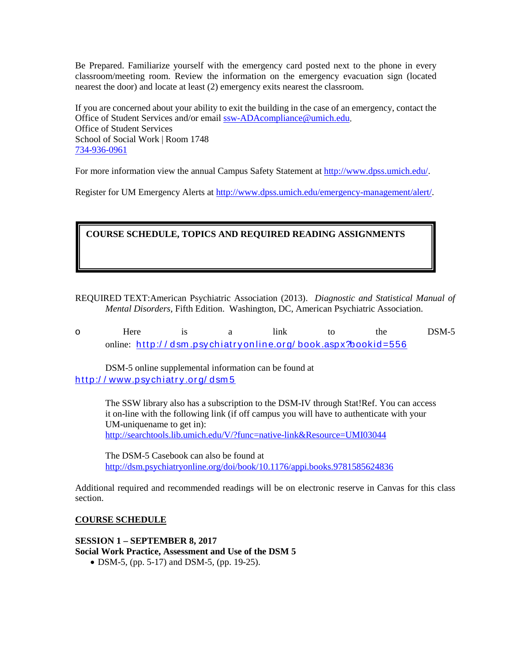Be Prepared. Familiarize yourself with the emergency card posted next to the phone in every classroom/meeting room. Review the information on the emergency evacuation sign (located nearest the door) and locate at least (2) emergency exits nearest the classroom.

If you are concerned about your ability to exit the building in the case of an emergency, contact the Office of Student Services and/or email [ssw-ADAcompliance@umich.edu.](mailto:ssw-ADAcompliance@umich.edu) Office of Student Services School of Social Work | Room 1748 [734-936-0961](tel:734-936-0961)

For more information view the annual Campus Safety Statement at [http://www.dpss.umich.edu/.](http://www.dpss.umich.edu/)

Register for UM Emergency Alerts at [http://www.dpss.umich.edu/emergency-management/alert/.](http://www.dpss.umich.edu/emergency-management/alert/)

# **COURSE SCHEDULE, TOPICS AND REQUIRED READING ASSIGNMENTS**

REQUIRED TEXT:American Psychiatric Association (2013). *Diagnostic and Statistical Manual of Mental Disorders,* Fifth Edition. Washington, DC, American Psychiatric Association.

o Here is a link to the DSM-5 online: [h ttp:/ / dsm .psy ch iatr y on lin e.or g/ book.aspx?bookid =556](http://dsm.psychiatryonline.org/book.aspx?bookid=556)

DSM-5 online supplemental information can be found at [h ttp:/ / www.psych iatr y .or g/ dsm 5](http://www.psychiatry.org/dsm5)

> The SSW library also has a subscription to the DSM-IV through Stat!Ref. You can access it on-line with the following link (if off campus you will have to authenticate with your UM-uniquename to get in): <http://searchtools.lib.umich.edu/V/?func=native-link&Resource=UMI03044>

The DSM-5 Casebook can also be found at <http://dsm.psychiatryonline.org/doi/book/10.1176/appi.books.9781585624836>

Additional required and recommended readings will be on electronic reserve in Canvas for this class section.

# **COURSE SCHEDULE**

#### **SESSION 1 – SEPTEMBER 8, 2017**

**Social Work Practice, Assessment and Use of the DSM 5** 

• DSM-5, (pp. 5-17) and DSM-5, (pp. 19-25).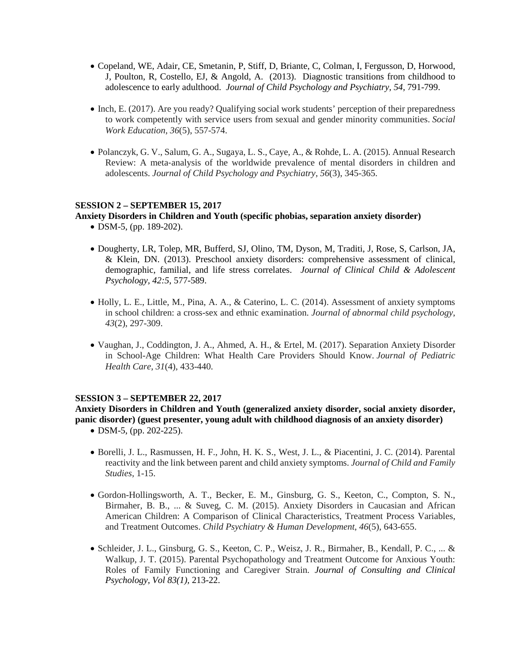- Copeland, WE, Adair, CE, Smetanin, P, Stiff, D, Briante, C, Colman, I, Fergusson, D, Horwood, J, Poulton, R, Costello, EJ, & Angold, A. (2013). Diagnostic transitions from childhood to adolescence to early adulthood. *Journal of Child Psychology and Psychiatry, 54,* 791-799.
- Inch, E. (2017). Are you ready? Qualifying social work students' perception of their preparedness to work competently with service users from sexual and gender minority communities. *Social Work Education*, *36*(5), 557-574.
- Polanczyk, G. V., Salum, G. A., Sugaya, L. S., Caye, A., & Rohde, L. A. (2015). Annual Research Review: A meta‐analysis of the worldwide prevalence of mental disorders in children and adolescents. *Journal of Child Psychology and Psychiatry*, *56*(3), 345-365.

# **SESSION 2 – SEPTEMBER 15, 2017**

# **Anxiety Disorders in Children and Youth (specific phobias, separation anxiety disorder)**

- DSM-5, (pp. 189-202).
- Dougherty, LR, Tolep, MR, Bufferd, SJ, Olino, TM, Dyson, M, Traditi, J, Rose, S, Carlson, JA, & Klein, DN. (2013). Preschool anxiety disorders: comprehensive assessment of clinical, demographic, familial, and life stress correlates. *Journal of Clinical Child & Adolescent Psychology, 42:5*, 577-589.
- Holly, L. E., Little, M., Pina, A. A., & Caterino, L. C. (2014). Assessment of anxiety symptoms in school children: a cross-sex and ethnic examination. *Journal of abnormal child psychology*, *43*(2), 297-309.
- Vaughan, J., Coddington, J. A., Ahmed, A. H., & Ertel, M. (2017). Separation Anxiety Disorder in School-Age Children: What Health Care Providers Should Know. *Journal of Pediatric Health Care*, *31*(4), 433-440.

# **SESSION 3 – SEPTEMBER 22, 2017**

**Anxiety Disorders in Children and Youth (generalized anxiety disorder, social anxiety disorder, panic disorder) (guest presenter, young adult with childhood diagnosis of an anxiety disorder)**

- DSM-5, (pp. 202-225).
- Borelli, J. L., Rasmussen, H. F., John, H. K. S., West, J. L., & Piacentini, J. C. (2014). Parental reactivity and the link between parent and child anxiety symptoms. *Journal of Child and Family Studies*, 1-15.
- Gordon-Hollingsworth, A. T., Becker, E. M., Ginsburg, G. S., Keeton, C., Compton, S. N., Birmaher, B. B., ... & Suveg, C. M. (2015). Anxiety Disorders in Caucasian and African American Children: A Comparison of Clinical Characteristics, Treatment Process Variables, and Treatment Outcomes. *Child Psychiatry & Human Development*, *46*(5), 643-655.
- Schleider, J. L., Ginsburg, G. S., Keeton, C. P., Weisz, J. R., Birmaher, B., Kendall, P. C., ... & Walkup, J. T. (2015). Parental Psychopathology and Treatment Outcome for Anxious Youth: Roles of Family Functioning and Caregiver Strain. *Journal of Consulting and Clinical Psychology, Vol 83(1),* 213-22.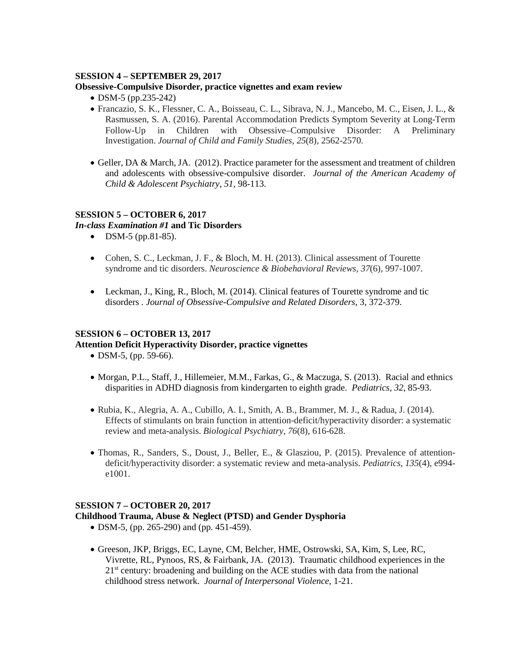#### **SESSION 4 – SEPTEMBER 29, 2017**

#### **Obsessive-Compulsive Disorder, practice vignettes and exam review**

- DSM-5 (pp.235-242)
- Francazio, S. K., Flessner, C. A., Boisseau, C. L., Sibrava, N. J., Mancebo, M. C., Eisen, J. L., & Rasmussen, S. A. (2016). Parental Accommodation Predicts Symptom Severity at Long-Term Follow-Up in Children with Obsessive–Compulsive Disorder: A Preliminary Investigation. *Journal of Child and Family Studies*, *25*(8), 2562-2570.
- Geller, DA & March, JA. (2012). Practice parameter for the assessment and treatment of children and adolescents with obsessive-compulsive disorder. *Journal of the American Academy of Child & Adolescent Psychiatry, 51*, 98-113.

# **SESSION 5 – OCTOBER 6, 2017**

#### *In-class Examination #1* **and Tic Disorders**

- DSM-5 (pp.81-85).
- Cohen, S. C., Leckman, J. F., & Bloch, M. H. (2013). Clinical assessment of Tourette syndrome and tic disorders. *Neuroscience & Biobehavioral Reviews*, *37*(6), 997-1007.
- Leckman, J., King, R., Bloch, M. (2014). Clinical features of Tourette syndrome and tic disorders *. Journal of Obsessive-Compulsive and Related Disorders*, 3, 372-379.

# **SESSION 6 – OCTOBER 13, 2017**

# **Attention Deficit Hyperactivity Disorder, practice vignettes**

- DSM-5, (pp. 59-66).
- Morgan, P.L., Staff, J., Hillemeier, M.M., Farkas, G., & Maczuga, S. (2013). Racial and ethnics disparities in ADHD diagnosis from kindergarten to eighth grade. *Pediatrics, 32*, 85-93.
- Rubia, K., Alegria, A. A., Cubillo, A. I., Smith, A. B., Brammer, M. J., & Radua, J. (2014). Effects of stimulants on brain function in attention-deficit/hyperactivity disorder: a systematic review and meta-analysis. *Biological Psychiatry*, *76*(8), 616-628.
- Thomas, R., Sanders, S., Doust, J., Beller, E., & Glasziou, P. (2015). Prevalence of attentiondeficit/hyperactivity disorder: a systematic review and meta-analysis. *Pediatrics*, *135*(4), e994 e1001.

# **SESSION 7 – OCTOBER 20, 2017**

#### **Childhood Trauma, Abuse & Neglect (PTSD) and Gender Dysphoria**

- DSM-5, (pp. 265-290) and (pp. 451-459).
- Greeson, JKP, Briggs, EC, Layne, CM, Belcher, HME, Ostrowski, SA, Kim, S, Lee, RC, Vivrette, RL, Pynoos, RS, & Fairbank, JA. (2013). Traumatic childhood experiences in the 21<sup>st</sup> century: broadening and building on the ACE studies with data from the national childhood stress network. *Journal of Interpersonal Violence*, 1-21.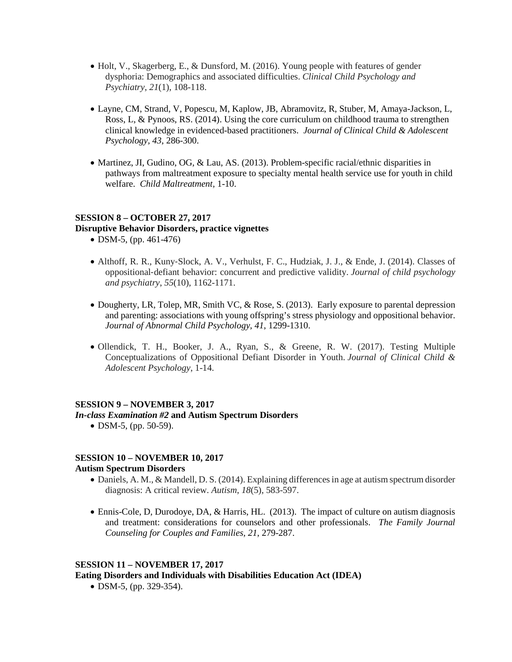- Holt, V., Skagerberg, E., & Dunsford, M. (2016). Young people with features of gender dysphoria: Demographics and associated difficulties. *Clinical Child Psychology and Psychiatry*, *21*(1), 108-118.
- Layne, CM, Strand, V, Popescu, M, Kaplow, JB, Abramovitz, R, Stuber, M, Amaya-Jackson, L, Ross, L, & Pynoos, RS. (2014). Using the core curriculum on childhood trauma to strengthen clinical knowledge in evidenced-based practitioners. *Journal of Clinical Child & Adolescent Psychology, 43*, 286-300.
- Martinez, JI, Gudino, OG, & Lau, AS. (2013). Problem-specific racial/ethnic disparities in pathways from maltreatment exposure to specialty mental health service use for youth in child welfare. *Child Maltreatment,* 1-10.

### **SESSION 8 – OCTOBER 27, 2017 Disruptive Behavior Disorders, practice vignettes**

- DSM-5, (pp. 461-476)
- Althoff, R. R., Kuny‐Slock, A. V., Verhulst, F. C., Hudziak, J. J., & Ende, J. (2014). Classes of oppositional‐defiant behavior: concurrent and predictive validity. *Journal of child psychology and psychiatry*, *55*(10), 1162-1171.
- Dougherty, LR, Tolep, MR, Smith VC, & Rose, S. (2013). Early exposure to parental depression and parenting: associations with young offspring's stress physiology and oppositional behavior. *Journal of Abnormal Child Psychology, 41*, 1299-1310.
- Ollendick, T. H., Booker, J. A., Ryan, S., & Greene, R. W. (2017). Testing Multiple Conceptualizations of Oppositional Defiant Disorder in Youth. *Journal of Clinical Child & Adolescent Psychology*, 1-14.

# **SESSION 9 – NOVEMBER 3, 2017**

#### *In-class Examination #2* **and Autism Spectrum Disorders**

• DSM-5, (pp. 50-59).

# **SESSION 10 – NOVEMBER 10, 2017 Autism Spectrum Disorders**

- Daniels, A. M., & Mandell, D. S. (2014). Explaining differences in age at autism spectrum disorder diagnosis: A critical review. *Autism*, *18*(5), 583-597.
- Ennis-Cole, D, Durodoye, DA, & Harris, HL. (2013). The impact of culture on autism diagnosis and treatment: considerations for counselors and other professionals. *The Family Journal Counseling for Couples and Families, 21*, 279-287.

# **SESSION 11 – NOVEMBER 17, 2017**

**Eating Disorders and Individuals with Disabilities Education Act (IDEA)**

• DSM-5, (pp. 329-354).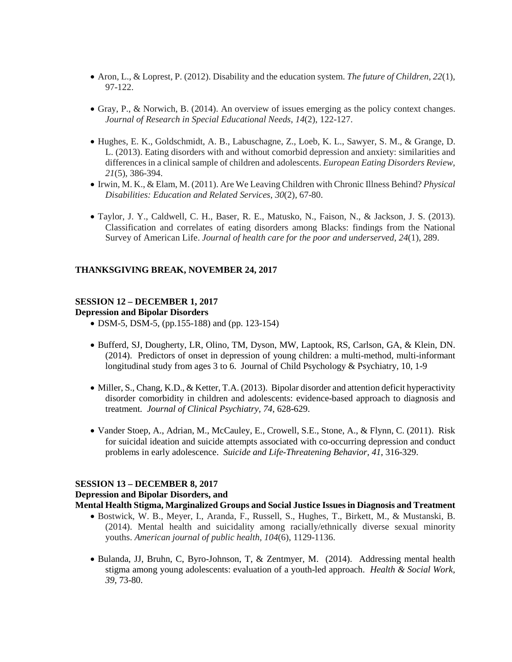- Aron, L., & Loprest, P. (2012). Disability and the education system. *The future of Children*, *22*(1), 97-122.
- Gray, P., & Norwich, B. (2014). An overview of issues emerging as the policy context changes. *Journal of Research in Special Educational Needs*, *14*(2), 122-127.
- Hughes, E. K., Goldschmidt, A. B., Labuschagne, Z., Loeb, K. L., Sawyer, S. M., & Grange, D. L. (2013). Eating disorders with and without comorbid depression and anxiety: similarities and differences in a clinical sample of children and adolescents. *European Eating Disorders Review*, *21*(5), 386-394.
- Irwin, M. K., & Elam, M. (2011). Are We Leaving Children with Chronic Illness Behind? *Physical Disabilities: Education and Related Services*, *30*(2), 67-80.
- Taylor, J. Y., Caldwell, C. H., Baser, R. E., Matusko, N., Faison, N., & Jackson, J. S. (2013). Classification and correlates of eating disorders among Blacks: findings from the National Survey of American Life. *Journal of health care for the poor and underserved*, *24*(1), 289.

#### **THANKSGIVING BREAK, NOVEMBER 24, 2017**

# **SESSION 12 – DECEMBER 1, 2017**

**Depression and Bipolar Disorders**

- DSM-5, DSM-5, (pp.155-188) and (pp. 123-154)
- Bufferd, SJ, Dougherty, LR, Olino, TM, Dyson, MW, Laptook, RS, Carlson, GA, & Klein, DN. (2014). Predictors of onset in depression of young children: a multi-method, multi-informant longitudinal study from ages 3 to 6. Journal of Child Psychology & Psychiatry, 10, 1-9
- Miller, S., Chang, K.D., & Ketter, T.A. (2013). Bipolar disorder and attention deficit hyperactivity disorder comorbidity in children and adolescents: evidence-based approach to diagnosis and treatment*. Journal of Clinical Psychiatry, 74*, 628-629.
- Vander Stoep, A., Adrian, M., McCauley, E., Crowell, S.E., Stone, A., & Flynn, C. (2011). Risk for suicidal ideation and suicide attempts associated with co-occurring depression and conduct problems in early adolescence. *Suicide and Life-Threatening Behavior, 41*, 316-329.

#### **SESSION 13 – DECEMBER 8, 2017**

#### **Depression and Bipolar Disorders, and**

**Mental Health Stigma, Marginalized Groups and Social Justice Issues in Diagnosis and Treatment** 

- Bostwick, W. B., Meyer, I., Aranda, F., Russell, S., Hughes, T., Birkett, M., & Mustanski, B. (2014). Mental health and suicidality among racially/ethnically diverse sexual minority youths. *American journal of public health*, *104*(6), 1129-1136.
- Bulanda, JJ, Bruhn, C, Byro-Johnson, T, & Zentmyer, M. (2014). Addressing mental health stigma among young adolescents: evaluation of a youth-led approach. *Health & Social Work, 39,* 73-80.